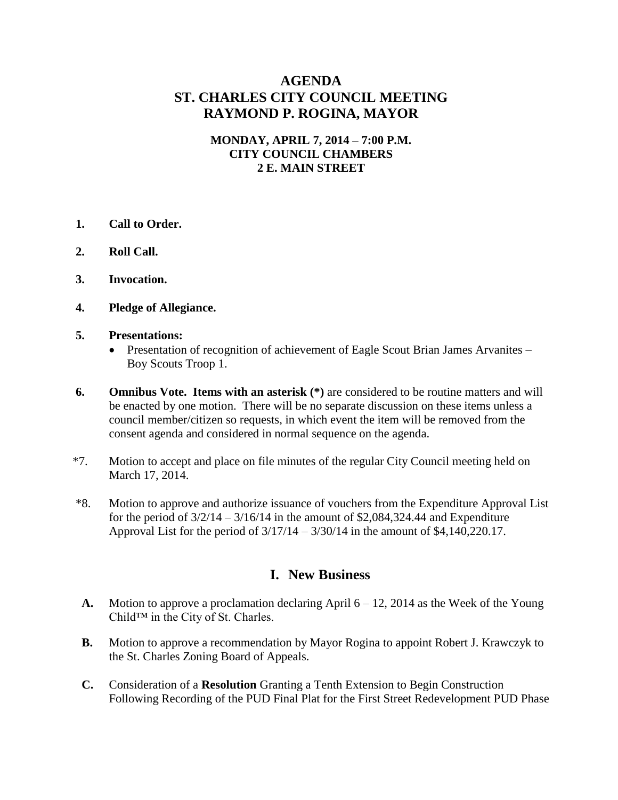## **AGENDA ST. CHARLES CITY COUNCIL MEETING RAYMOND P. ROGINA, MAYOR**

#### **MONDAY, APRIL 7, 2014 – 7:00 P.M. CITY COUNCIL CHAMBERS 2 E. MAIN STREET**

- **1. Call to Order.**
- **2. Roll Call.**
- **3. Invocation.**
- **4. Pledge of Allegiance.**

#### **5. Presentations:**

- Presentation of recognition of achievement of Eagle Scout Brian James Arvanites Boy Scouts Troop 1.
- **6. Omnibus Vote. Items with an asterisk (\*)** are considered to be routine matters and will be enacted by one motion. There will be no separate discussion on these items unless a council member/citizen so requests, in which event the item will be removed from the consent agenda and considered in normal sequence on the agenda.
- \*7. Motion to accept and place on file minutes of the regular City Council meeting held on March 17, 2014.
- \*8. Motion to approve and authorize issuance of vouchers from the Expenditure Approval List for the period of  $3/2/14 - 3/16/14$  in the amount of \$2,084,324.44 and Expenditure Approval List for the period of  $3/17/14 - 3/30/14$  in the amount of \$4,140,220.17.

## **I. New Business**

- **A.** Motion to approve a proclamation declaring April 6 12, 2014 as the Week of the Young Child™ in the City of St. Charles.
- **B.** Motion to approve a recommendation by Mayor Rogina to appoint Robert J. Krawczyk to the St. Charles Zoning Board of Appeals.
- **C.** Consideration of a **Resolution** Granting a Tenth Extension to Begin Construction Following Recording of the PUD Final Plat for the First Street Redevelopment PUD Phase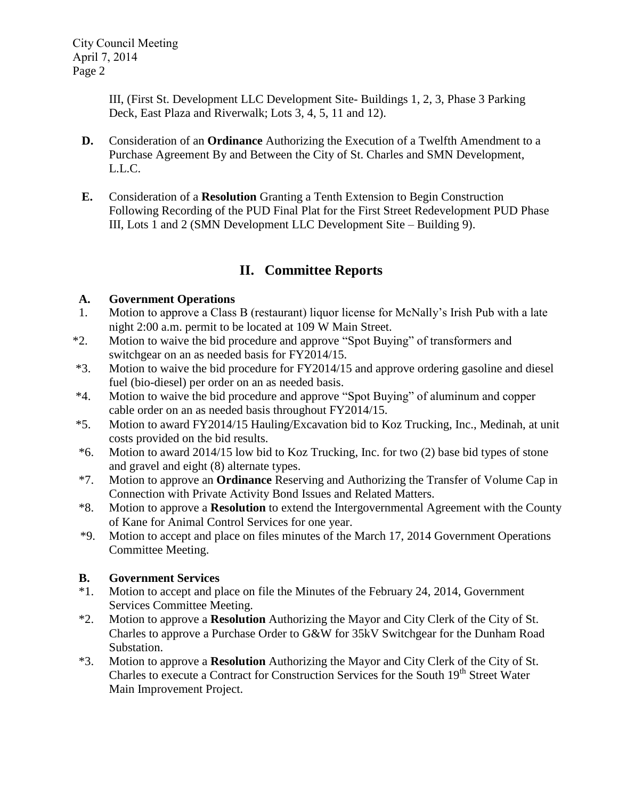III, (First St. Development LLC Development Site- Buildings 1, 2, 3, Phase 3 Parking Deck, East Plaza and Riverwalk; Lots 3, 4, 5, 11 and 12).

- **D.** Consideration of an **Ordinance** Authorizing the Execution of a Twelfth Amendment to a Purchase Agreement By and Between the City of St. Charles and SMN Development, L.L.C.
- **E.** Consideration of a **Resolution** Granting a Tenth Extension to Begin Construction Following Recording of the PUD Final Plat for the First Street Redevelopment PUD Phase III, Lots 1 and 2 (SMN Development LLC Development Site – Building 9).

# **II. Committee Reports**

## **A. Government Operations**

- 1. Motion to approve a Class B (restaurant) liquor license for McNally's Irish Pub with a late night 2:00 a.m. permit to be located at 109 W Main Street.
- \*2. Motion to waive the bid procedure and approve "Spot Buying" of transformers and switchgear on an as needed basis for FY2014/15.
- \*3. Motion to waive the bid procedure for FY2014/15 and approve ordering gasoline and diesel fuel (bio-diesel) per order on an as needed basis.
- \*4. Motion to waive the bid procedure and approve "Spot Buying" of aluminum and copper cable order on an as needed basis throughout FY2014/15.
- \*5. Motion to award FY2014/15 Hauling/Excavation bid to Koz Trucking, Inc., Medinah, at unit costs provided on the bid results.
- \*6. Motion to award 2014/15 low bid to Koz Trucking, Inc. for two (2) base bid types of stone and gravel and eight (8) alternate types.
- \*7. Motion to approve an **Ordinance** Reserving and Authorizing the Transfer of Volume Cap in Connection with Private Activity Bond Issues and Related Matters.
- \*8. Motion to approve a **Resolution** to extend the Intergovernmental Agreement with the County of Kane for Animal Control Services for one year.
- \*9. Motion to accept and place on files minutes of the March 17, 2014 Government Operations Committee Meeting.

## **B. Government Services**

- \*1. Motion to accept and place on file the Minutes of the February 24, 2014, Government Services Committee Meeting.
- \*2. Motion to approve a **Resolution** Authorizing the Mayor and City Clerk of the City of St. Charles to approve a Purchase Order to G&W for 35kV Switchgear for the Dunham Road Substation.
- \*3. Motion to approve a **Resolution** Authorizing the Mayor and City Clerk of the City of St. Charles to execute a Contract for Construction Services for the South 19<sup>th</sup> Street Water Main Improvement Project.